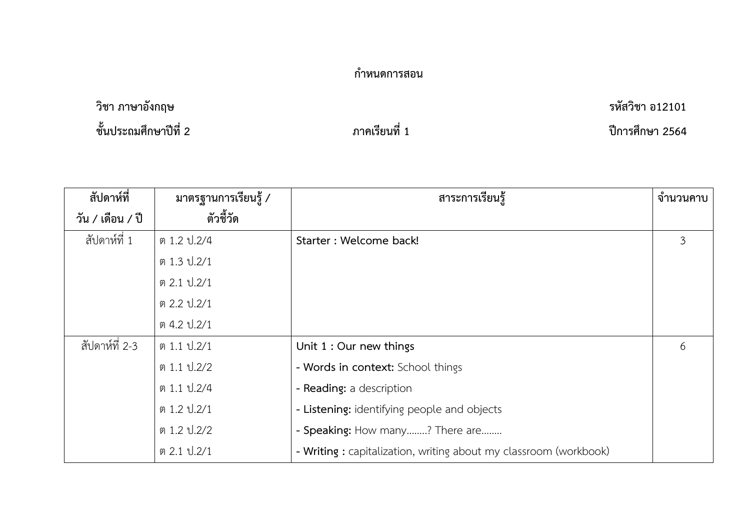## **กำหนดการสอน**

## **วิชา ภาษาอังกฤษ รหัสวิชา อ12101 ชั้นประถมศึกษาปีที่ 2 ภาคเรียนที่ 1 ปีการศึกษา 2564**

| สัปดาห์ที่       | มาตรฐานการเรียนรู้ / | สาระการเรียนรู้                                                  | จำนวนคาบ |
|------------------|----------------------|------------------------------------------------------------------|----------|
| วัน / เดือน / ปี | ตัวชี้วัด            |                                                                  |          |
| สัปดาห์ที่ 1     | ต 1.2 ป. 2/4         | Starter : Welcome back!                                          | 3        |
|                  | ต 1.3 ป.2/1          |                                                                  |          |
|                  | ต 2.1 ป.2/1          |                                                                  |          |
|                  | ต 2.2 ป.2/1          |                                                                  |          |
|                  | ต 4.2 ป.2/1          |                                                                  |          |
| สัปดาห์ที่ 2-3   | ต 1.1 ป.2/1          | Unit 1 : Our new things                                          | 6        |
|                  | ต 1.1 ป.2/2          | - Words in context: School things                                |          |
|                  | ต 1.1 ป.2/4          | - Reading: a description                                         |          |
|                  | ต 1.2 ป.2/1          | - Listening: identifying people and objects                      |          |
|                  | ต 1.2 ป. 2/2         | - Speaking: How many? There are                                  |          |
|                  | ต 2.1 ป.2/1          | - Writing: capitalization, writing about my classroom (workbook) |          |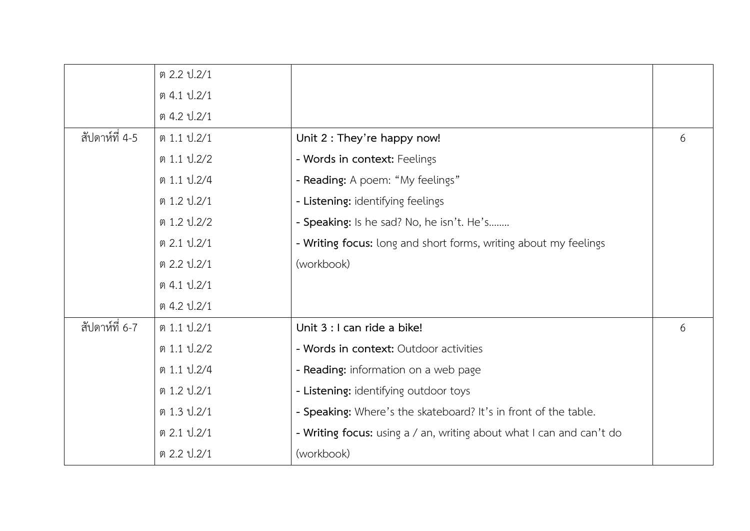|                | ต 2.2 ป. 2/1   |                                                                      |   |
|----------------|----------------|----------------------------------------------------------------------|---|
|                | ต 4.1 ป.2/1    |                                                                      |   |
|                | ต 4.2 ป. 2/1   |                                                                      |   |
| สัปดาห์ที่ 4-5 | ต 1.1 ป.2/1    | Unit 2 : They're happy now!                                          | 6 |
|                | ต 1.1 ป.2/2    | - Words in context: Feelings                                         |   |
|                | ต 1.1 ป.2/4    | - Reading: A poem: "My feelings"                                     |   |
|                | ต 1.2 ป.2/1    | - Listening: identifying feelings                                    |   |
|                | ต 1.2 ป.2/2    | - Speaking: Is he sad? No, he isn't. He's                            |   |
|                | ต 2.1 ป.2/1    | - Writing focus: long and short forms, writing about my feelings     |   |
|                | ต 2.2 ป.2/1    | (workbook)                                                           |   |
|                | ต 4.1 ป.2/1    |                                                                      |   |
|                | ต 4.2 ป. $2/1$ |                                                                      |   |
| สัปดาห์ที่ 6-7 | ต 1.1 ป.2/1    | Unit 3 : I can ride a bike!                                          | 6 |
|                | ต 1.1 ป.2/2    | - Words in context: Outdoor activities                               |   |
|                | ต 1.1 ป.2/4    | - Reading: information on a web page                                 |   |
|                | ต 1.2 ป.2/1    | - Listening: identifying outdoor toys                                |   |
|                | ต 1.3 ป.2/1    | - Speaking: Where's the skateboard? It's in front of the table.      |   |
|                | ต 2.1 ป.2/1    | - Writing focus: using a / an, writing about what I can and can't do |   |
|                | ต 2.2 ป.2/1    | (workbook)                                                           |   |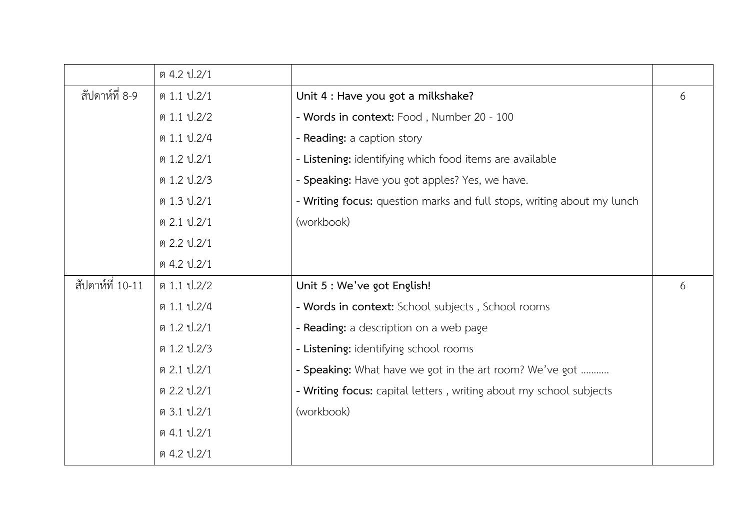|                  | ต 4.2 ป. 2/1 |                                                                        |   |
|------------------|--------------|------------------------------------------------------------------------|---|
| สัปดาห์ที่ 8-9   | ต 1.1 ป.2/1  | Unit 4 : Have you got a milkshake?                                     | 6 |
|                  | ต 1.1 ป.2/2  | - Words in context: Food, Number 20 - 100                              |   |
|                  | ต 1.1 ป.2/4  | - Reading: a caption story                                             |   |
|                  | ต 1.2 ป.2/1  | - Listening: identifying which food items are available                |   |
|                  | ต 1.2 ป.2/3  | - Speaking: Have you got apples? Yes, we have.                         |   |
|                  | ต 1.3 ป.2/1  | - Writing focus: question marks and full stops, writing about my lunch |   |
|                  | ต 2.1 ป.2/1  | (workbook)                                                             |   |
|                  | ต 2.2 ป.2/1  |                                                                        |   |
|                  | ต 4.2 ป.2/1  |                                                                        |   |
| สัปดาห์ที่ 10-11 | ต 1.1 ป.2/2  | Unit 5 : We've got English!                                            | 6 |
|                  | ต 1.1 ป.2/4  | - Words in context: School subjects, School rooms                      |   |
|                  | ต 1.2 ป.2/1  | - Reading: a description on a web page                                 |   |
|                  | ต 1.2 ป.2/3  | - Listening: identifying school rooms                                  |   |
|                  | ต 2.1 ป.2/1  | - Speaking: What have we got in the art room? We've got                |   |
|                  | ต 2.2 ป.2/1  | - Writing focus: capital letters, writing about my school subjects     |   |
|                  | ต 3.1 ป.2/1  | (workbook)                                                             |   |
|                  | ต 4.1 ป.2/1  |                                                                        |   |
|                  | ต 4.2 ป.2/1  |                                                                        |   |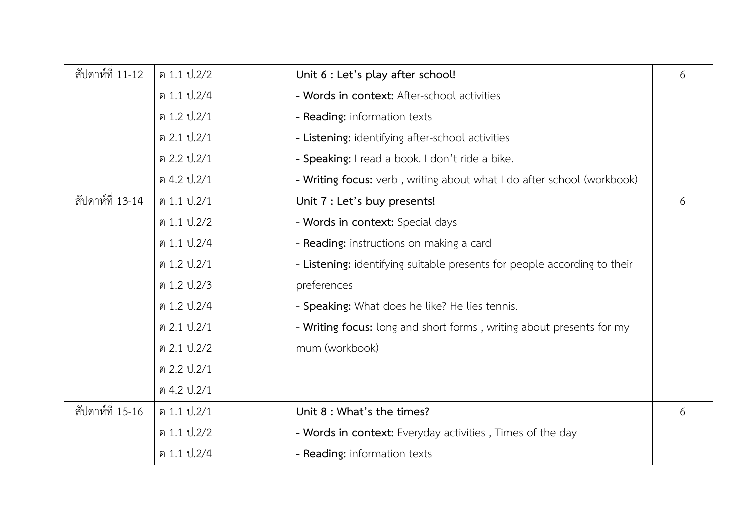| สัปดาห์ที่ 11-12 | ต 1.1 ป.2/2  | Unit 6 : Let's play after school!                                        | 6 |
|------------------|--------------|--------------------------------------------------------------------------|---|
|                  | ต 1.1 ป.2/4  | - Words in context: After-school activities                              |   |
|                  | ต 1.2 ป.2/1  | - Reading: information texts                                             |   |
|                  | ต 2.1 ป.2/1  | - Listening: identifying after-school activities                         |   |
|                  | ต 2.2 ป.2/1  | - Speaking: I read a book. I don't ride a bike.                          |   |
|                  | ต 4.2 ป.2/1  | - Writing focus: verb, writing about what I do after school (workbook)   |   |
| สัปดาห์ที่ 13-14 | ต 1.1 ป.2/1  | Unit 7 : Let's buy presents!                                             | 6 |
|                  | ต 1.1 ป.2/2  | - Words in context: Special days                                         |   |
|                  | ต 1.1 ป.2/4  | - Reading: instructions on making a card                                 |   |
|                  | ต 1.2 ป.2/1  | - Listening: identifying suitable presents for people according to their |   |
|                  | ต 1.2 ป.2/3  | preferences                                                              |   |
|                  | ต 1.2 ป.2/4  | - Speaking: What does he like? He lies tennis.                           |   |
|                  | ต 2.1 ป.2/1  | - Writing focus: long and short forms, writing about presents for my     |   |
|                  | ต 2.1 ป.2/2  | mum (workbook)                                                           |   |
|                  | ต 2.2 ป.2/1  |                                                                          |   |
|                  | ต 4.2 ป.2/1  |                                                                          |   |
| สัปดาห์ที่ 15-16 | ต 1.1 ป.2/1  | Unit 8 : What's the times?                                               | 6 |
|                  | ต 1.1 ป.2/2  | - Words in context: Everyday activities, Times of the day                |   |
|                  | ต 1.1 ป. 2/4 | - Reading: information texts                                             |   |